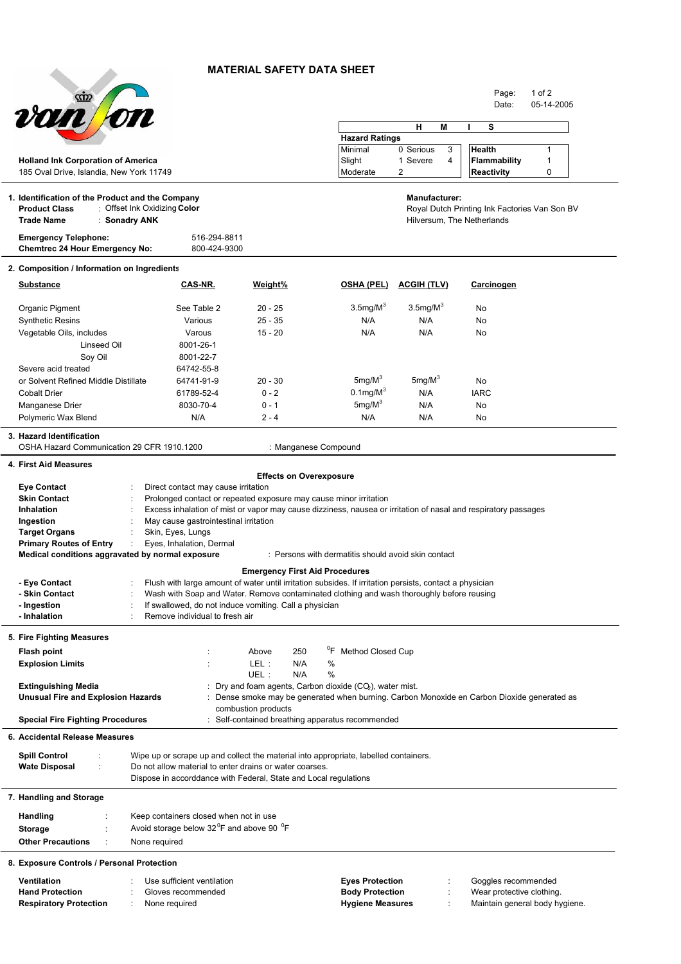## **MATERIAL SAFETY DATA SHEET**



Page: 1 of 2

|                                                                                             | <i><b>von on</b></i>                                                                |                                                                                                                |                                       |                                                                                                                                                       |                            | Date:                                         | 05-14-2005 |  |  |
|---------------------------------------------------------------------------------------------|-------------------------------------------------------------------------------------|----------------------------------------------------------------------------------------------------------------|---------------------------------------|-------------------------------------------------------------------------------------------------------------------------------------------------------|----------------------------|-----------------------------------------------|------------|--|--|
|                                                                                             |                                                                                     |                                                                                                                |                                       |                                                                                                                                                       | н<br>M                     | s                                             |            |  |  |
|                                                                                             |                                                                                     |                                                                                                                |                                       | <b>Hazard Ratings</b>                                                                                                                                 |                            |                                               |            |  |  |
|                                                                                             |                                                                                     |                                                                                                                |                                       | Minimal                                                                                                                                               | 3<br>0 Serious             | Health                                        | 1          |  |  |
|                                                                                             | <b>Holland Ink Corporation of America</b>                                           |                                                                                                                |                                       | Slight                                                                                                                                                | 1 Severe<br>4              | <b>Flammability</b>                           | 1          |  |  |
|                                                                                             | 185 Oval Drive, Islandia, New York 11749                                            |                                                                                                                |                                       | Moderate                                                                                                                                              | 2                          | <b>Reactivity</b>                             | 0          |  |  |
|                                                                                             |                                                                                     |                                                                                                                |                                       |                                                                                                                                                       |                            |                                               |            |  |  |
|                                                                                             | 1. Identification of the Product and the Company<br><b>Product Class</b>            | : Offset Ink Oxidizing Color                                                                                   |                                       |                                                                                                                                                       | <b>Manufacturer:</b>       | Royal Dutch Printing Ink Factories Van Son BV |            |  |  |
|                                                                                             | <b>Trade Name</b><br>: Sonadry ANK                                                  |                                                                                                                |                                       |                                                                                                                                                       | Hilversum, The Netherlands |                                               |            |  |  |
|                                                                                             | <b>Emergency Telephone:</b>                                                         | 516-294-8811                                                                                                   |                                       |                                                                                                                                                       |                            |                                               |            |  |  |
|                                                                                             | <b>Chemtrec 24 Hour Emergency No:</b>                                               | 800-424-9300                                                                                                   |                                       |                                                                                                                                                       |                            |                                               |            |  |  |
|                                                                                             | 2. Composition / Information on Ingredients                                         |                                                                                                                |                                       |                                                                                                                                                       |                            |                                               |            |  |  |
|                                                                                             | Substance                                                                           | CAS-NR.                                                                                                        | Weight%                               | <b>OSHA (PEL)</b>                                                                                                                                     | <b>ACGIH (TLV)</b>         | Carcinogen                                    |            |  |  |
|                                                                                             | Organic Pigment                                                                     | See Table 2                                                                                                    | $20 - 25$                             | $3.5$ mg/M $3$                                                                                                                                        | $3.5$ mg/M $^{\circ}$      | No                                            |            |  |  |
|                                                                                             | <b>Synthetic Resins</b>                                                             | Various                                                                                                        | $25 - 35$                             | N/A                                                                                                                                                   | N/A                        | No                                            |            |  |  |
|                                                                                             | Vegetable Oils, includes                                                            | Varous                                                                                                         | $15 - 20$                             | N/A                                                                                                                                                   | N/A                        | No                                            |            |  |  |
|                                                                                             | Linseed Oil                                                                         | 8001-26-1                                                                                                      |                                       |                                                                                                                                                       |                            |                                               |            |  |  |
|                                                                                             | Soy Oil                                                                             | 8001-22-7                                                                                                      |                                       |                                                                                                                                                       |                            |                                               |            |  |  |
|                                                                                             | Severe acid treated                                                                 | 64742-55-8                                                                                                     |                                       |                                                                                                                                                       |                            |                                               |            |  |  |
|                                                                                             | or Solvent Refined Middle Distillate                                                | 64741-91-9                                                                                                     | $20 - 30$                             | $5mg/M^3$                                                                                                                                             | $5mg/M^3$                  | No                                            |            |  |  |
|                                                                                             | <b>Cobalt Drier</b>                                                                 | 61789-52-4                                                                                                     | $0 - 2$                               | $0.1$ mg/M $3$                                                                                                                                        | N/A                        | <b>IARC</b>                                   |            |  |  |
|                                                                                             | Manganese Drier                                                                     | 8030-70-4                                                                                                      | $0 - 1$                               | $5mg/M^3$                                                                                                                                             | N/A                        | No                                            |            |  |  |
|                                                                                             | Polymeric Wax Blend                                                                 | N/A                                                                                                            | $2 - 4$                               | N/A                                                                                                                                                   | N/A                        | No                                            |            |  |  |
|                                                                                             | 3. Hazard Identification<br>OSHA Hazard Communication 29 CFR 1910.1200              |                                                                                                                |                                       | : Manganese Compound                                                                                                                                  |                            |                                               |            |  |  |
|                                                                                             | 4. First Aid Measures                                                               |                                                                                                                |                                       |                                                                                                                                                       |                            |                                               |            |  |  |
|                                                                                             |                                                                                     |                                                                                                                | <b>Effects on Overexposure</b>        |                                                                                                                                                       |                            |                                               |            |  |  |
|                                                                                             | <b>Eye Contact</b>                                                                  | Direct contact may cause irritation                                                                            |                                       |                                                                                                                                                       |                            |                                               |            |  |  |
|                                                                                             | <b>Skin Contact</b>                                                                 | Prolonged contact or repeated exposure may cause minor irritation                                              |                                       |                                                                                                                                                       |                            |                                               |            |  |  |
|                                                                                             | <b>Inhalation</b>                                                                   | Excess inhalation of mist or vapor may cause dizziness, nausea or irritation of nasal and respiratory passages |                                       |                                                                                                                                                       |                            |                                               |            |  |  |
|                                                                                             | Ingestion                                                                           | May cause gastrointestinal irritation                                                                          |                                       |                                                                                                                                                       |                            |                                               |            |  |  |
|                                                                                             | Target Organs<br><b>Primary Routes of Entry</b>                                     | Skin, Eyes, Lungs<br>Eyes, Inhalation, Dermal                                                                  |                                       |                                                                                                                                                       |                            |                                               |            |  |  |
|                                                                                             | Medical conditions aggravated by normal exposure                                    |                                                                                                                |                                       | : Persons with dermatitis should avoid skin contact                                                                                                   |                            |                                               |            |  |  |
|                                                                                             |                                                                                     |                                                                                                                | <b>Emergency First Aid Procedures</b> |                                                                                                                                                       |                            |                                               |            |  |  |
|                                                                                             | - Eye Contact                                                                       | Flush with large amount of water until irritation subsides. If irritation persists, contact a physician        |                                       |                                                                                                                                                       |                            |                                               |            |  |  |
|                                                                                             | - Skin Contact                                                                      | Wash with Soap and Water. Remove contaminated clothing and wash thoroughly before reusing                      |                                       |                                                                                                                                                       |                            |                                               |            |  |  |
|                                                                                             | - Ingestion                                                                         | If swallowed, do not induce vomiting. Call a physician                                                         |                                       |                                                                                                                                                       |                            |                                               |            |  |  |
|                                                                                             | - Inhalation                                                                        | Remove individual to fresh air                                                                                 |                                       |                                                                                                                                                       |                            |                                               |            |  |  |
|                                                                                             | 5. Fire Fighting Measures                                                           |                                                                                                                |                                       |                                                                                                                                                       |                            |                                               |            |  |  |
|                                                                                             | <b>Flash point</b>                                                                  |                                                                                                                | Above<br>250                          | °F<br>Method Closed Cup                                                                                                                               |                            |                                               |            |  |  |
|                                                                                             | <b>Explosion Limits</b>                                                             |                                                                                                                | N/A<br>LEL :                          | %                                                                                                                                                     |                            |                                               |            |  |  |
|                                                                                             |                                                                                     |                                                                                                                | UEL:<br>N/A                           | %                                                                                                                                                     |                            |                                               |            |  |  |
|                                                                                             | <b>Extinguishing Media</b><br><b>Unusual Fire and Explosion Hazards</b>             |                                                                                                                |                                       | : Dry and foam agents, Carbon dioxide (CO2), water mist.<br>Dense smoke may be generated when burning. Carbon Monoxide en Carbon Dioxide generated as |                            |                                               |            |  |  |
|                                                                                             |                                                                                     |                                                                                                                | combustion products                   |                                                                                                                                                       |                            |                                               |            |  |  |
| : Self-contained breathing apparatus recommended<br><b>Special Fire Fighting Procedures</b> |                                                                                     |                                                                                                                |                                       |                                                                                                                                                       |                            |                                               |            |  |  |
|                                                                                             | 6. Accidental Release Measures                                                      |                                                                                                                |                                       |                                                                                                                                                       |                            |                                               |            |  |  |
|                                                                                             | <b>Spill Control</b>                                                                | Wipe up or scrape up and collect the material into appropriate, labelled containers.                           |                                       |                                                                                                                                                       |                            |                                               |            |  |  |
|                                                                                             | Wate Disposal                                                                       | Do not allow material to enter drains or water coarses.                                                        |                                       |                                                                                                                                                       |                            |                                               |            |  |  |
|                                                                                             |                                                                                     | Dispose in accorddance with Federal, State and Local regulations                                               |                                       |                                                                                                                                                       |                            |                                               |            |  |  |
|                                                                                             | 7. Handling and Storage                                                             |                                                                                                                |                                       |                                                                                                                                                       |                            |                                               |            |  |  |
|                                                                                             | <b>Handling</b>                                                                     | Keep containers closed when not in use                                                                         |                                       |                                                                                                                                                       |                            |                                               |            |  |  |
|                                                                                             | Avoid storage below 32 <sup>°</sup> F and above 90 <sup>°</sup> F<br><b>Storage</b> |                                                                                                                |                                       |                                                                                                                                                       |                            |                                               |            |  |  |
|                                                                                             | <b>Other Precautions</b>                                                            | None required                                                                                                  |                                       |                                                                                                                                                       |                            |                                               |            |  |  |
|                                                                                             |                                                                                     |                                                                                                                |                                       |                                                                                                                                                       |                            |                                               |            |  |  |
|                                                                                             | 8. Exposure Controls / Personal Protection                                          |                                                                                                                |                                       |                                                                                                                                                       |                            |                                               |            |  |  |

| Ventilation                   | Use sufficient ventilation | <b>Eves Protection</b>  | Goggles recommended            |
|-------------------------------|----------------------------|-------------------------|--------------------------------|
| <b>Hand Protection</b>        | Gloves recommended         | <b>Body Protection</b>  | Wear protective clothing.      |
| <b>Respiratory Protection</b> | None required              | <b>Hygiene Measures</b> | Maintain general body hygiene. |